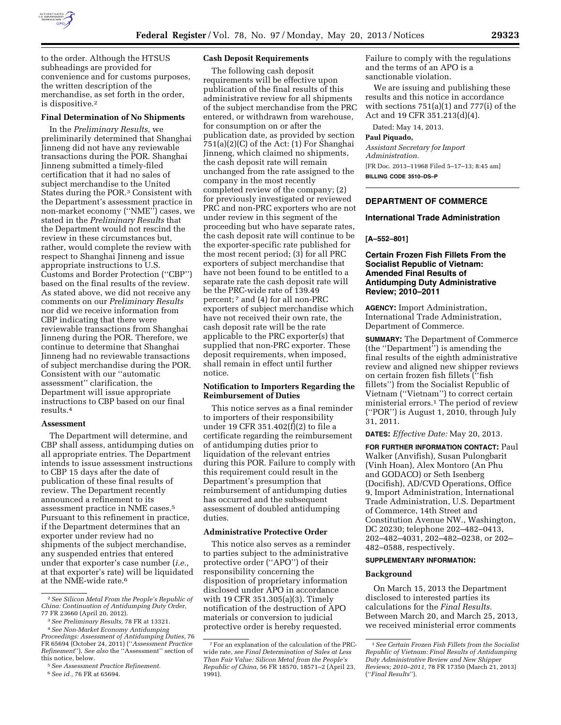

to the order. Although the HTSUS subheadings are provided for convenience and for customs purposes, the written description of the merchandise, as set forth in the order, is dispositive.2

### **Final Determination of No Shipments**

In the *Preliminary Results,* we preliminarily determined that Shanghai Jinneng did not have any reviewable transactions during the POR. Shanghai Jinneng submitted a timely-filed certification that it had no sales of subject merchandise to the United States during the POR.3 Consistent with the Department's assessment practice in non-market economy (''NME'') cases, we stated in the *Preliminary Results* that the Department would not rescind the review in these circumstances but, rather, would complete the review with respect to Shanghai Jinneng and issue appropriate instructions to U.S. Customs and Border Protection (''CBP'') based on the final results of the review. As stated above, we did not receive any comments on our *Preliminary Results*  nor did we receive information from CBP indicating that there were reviewable transactions from Shanghai Jinneng during the POR. Therefore, we continue to determine that Shanghai Jinneng had no reviewable transactions of subject merchandise during the POR. Consistent with our ''automatic assessment'' clarification, the Department will issue appropriate instructions to CBP based on our final results.4

#### **Assessment**

The Department will determine, and CBP shall assess, antidumping duties on all appropriate entries. The Department intends to issue assessment instructions to CBP 15 days after the date of publication of these final results of review. The Department recently announced a refinement to its assessment practice in NME cases.5 Pursuant to this refinement in practice, if the Department determines that an exporter under review had no shipments of the subject merchandise, any suspended entries that entered under that exporter's case number (*i.e.,*  at that exporter's rate) will be liquidated at the NME-wide rate.<sup>6</sup>

6*See id.,* 76 FR at 65694.

# **Cash Deposit Requirements**

The following cash deposit requirements will be effective upon publication of the final results of this administrative review for all shipments of the subject merchandise from the PRC entered, or withdrawn from warehouse, for consumption on or after the publication date, as provided by section 751(a)(2)(C) of the Act: (1) For Shanghai Jinneng, which claimed no shipments, the cash deposit rate will remain unchanged from the rate assigned to the company in the most recently completed review of the company; (2) for previously investigated or reviewed PRC and non-PRC exporters who are not under review in this segment of the proceeding but who have separate rates, the cash deposit rate will continue to be the exporter-specific rate published for the most recent period; (3) for all PRC exporters of subject merchandise that have not been found to be entitled to a separate rate the cash deposit rate will be the PRC-wide rate of 139.49 percent; 7 and (4) for all non-PRC exporters of subject merchandise which have not received their own rate, the cash deposit rate will be the rate applicable to the PRC exporter(s) that supplied that non-PRC exporter. These deposit requirements, when imposed, shall remain in effect until further notice.

# **Notification to Importers Regarding the Reimbursement of Duties**

This notice serves as a final reminder to importers of their responsibility under 19 CFR 351.402(f)(2) to file a certificate regarding the reimbursement of antidumping duties prior to liquidation of the relevant entries during this POR. Failure to comply with this requirement could result in the Department's presumption that reimbursement of antidumping duties has occurred and the subsequent assessment of doubled antidumping duties.

### **Administrative Protective Order**

This notice also serves as a reminder to parties subject to the administrative protective order (''APO'') of their responsibility concerning the disposition of proprietary information disclosed under APO in accordance with 19 CFR 351.305(a)(3). Timely notification of the destruction of APO materials or conversion to judicial protective order is hereby requested.

Failure to comply with the regulations and the terms of an APO is a sanctionable violation.

We are issuing and publishing these results and this notice in accordance with sections 751(a)(1) and 777(i) of the Act and 19 CFR 351.213(d)(4).

Dated: May 14, 2013.

### **Paul Piquado,**

*Assistant Secretary for Import Administration.*  [FR Doc. 2013–11968 Filed 5–17–13; 8:45 am] **BILLING CODE 3510–DS–P** 

# **DEPARTMENT OF COMMERCE**

## **International Trade Administration**

**[A–552–801]** 

# **Certain Frozen Fish Fillets From the Socialist Republic of Vietnam: Amended Final Results of Antidumping Duty Administrative Review; 2010–2011**

**AGENCY:** Import Administration, International Trade Administration, Department of Commerce.

**SUMMARY:** The Department of Commerce (the ''Department'') is amending the final results of the eighth administrative review and aligned new shipper reviews on certain frozen fish fillets (''fish fillets'') from the Socialist Republic of Vietnam (''Vietnam'') to correct certain ministerial errors.<sup>1</sup> The period of review (''POR'') is August 1, 2010, through July 31, 2011.

**DATES:** *Effective Date:* May 20, 2013.

**FOR FURTHER INFORMATION CONTACT:** Paul Walker (Anvifish), Susan Pulongbarit (Vinh Hoan), Alex Montoro (An Phu and GODACO) or Seth Isenberg (Docifish), AD/CVD Operations, Office 9, Import Administration, International Trade Administration, U.S. Department of Commerce, 14th Street and Constitution Avenue NW., Washington, DC 20230; telephone 202–482–0413, 202–482–4031, 202–482–0238, or 202– 482–0588, respectively.

#### **SUPPLEMENTARY INFORMATION:**

### **Background**

On March 15, 2013 the Department disclosed to interested parties its calculations for the *Final Results.*  Between March 20, and March 25, 2013, we received ministerial error comments

<sup>2</sup>*See Silicon Metal From the People's Republic of China: Continuation of Antidumping Duty Order,* 

<sup>77</sup> FR 23660 (April 20, 2012). 3*See Preliminary Results,* 78 FR at 13321. 4*See Non-Market Economy Antidumping* 

*Proceedings: Assessment of Antidumping Duties,* 76 FR 65694 (October 24, 2011) (''*Assessment Practice Refinement*''). *See also* the ''Assessment'' section of this notice, below. 5*See Assessment Practice Refinement.* 

<sup>7</sup>For an explanation of the calculation of the PRCwide rate, *see Final Determination of Sales at Less Than Fair Value: Silicon Metal from the People's Republic of China,* 56 FR 18570, 18571–2 (April 23, 1991).

<sup>1</sup>*See Certain Frozen Fish Fillets from the Socialist Republic of Vietnam: Final Results of Antidumping Duty Administrative Review and New Shipper Reviews; 2010–2011,* 78 FR 17350 (March 21, 2013) (''*Final Results*'').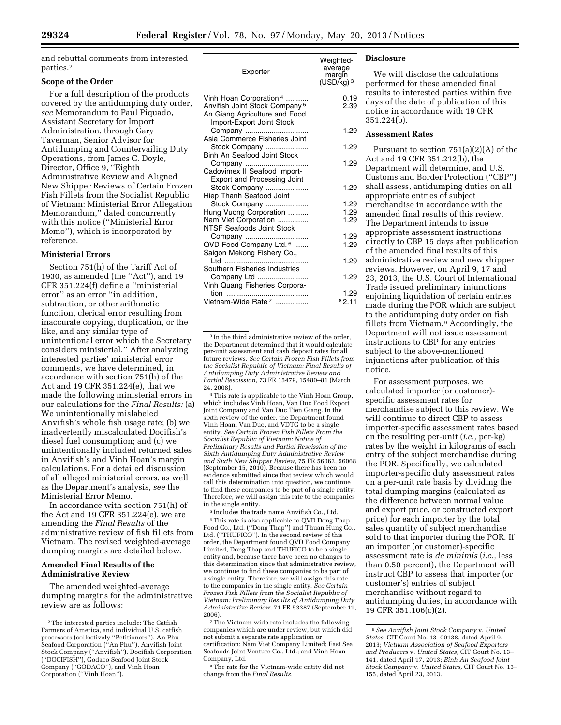and rebuttal comments from interested parties.2

## **Scope of the Order**

For a full description of the products covered by the antidumping duty order, *see* Memorandum to Paul Piquado, Assistant Secretary for Import Administration, through Gary Taverman, Senior Advisor for Antidumping and Countervailing Duty Operations, from James C. Doyle, Director, Office 9, ''Eighth Administrative Review and Aligned New Shipper Reviews of Certain Frozen Fish Fillets from the Socialist Republic of Vietnam: Ministerial Error Allegation Memorandum,'' dated concurrently with this notice (''Ministerial Error Memo''), which is incorporated by reference.

### **Ministerial Errors**

Section 751(h) of the Tariff Act of 1930, as amended (the ''Act''), and 19 CFR 351.224(f) define a ''ministerial error'' as an error ''in addition, subtraction, or other arithmetic function, clerical error resulting from inaccurate copying, duplication, or the like, and any similar type of unintentional error which the Secretary considers ministerial.'' After analyzing interested parties' ministerial error comments, we have determined, in accordance with section 751(h) of the Act and 19 CFR 351.224(e), that we made the following ministerial errors in our calculations for the *Final Results:* (a) We unintentionally mislabeled Anvifish's whole fish usage rate; (b) we inadvertently miscalculated Docifish's diesel fuel consumption; and (c) we unintentionally included returned sales in Anvifish's and Vinh Hoan's margin calculations. For a detailed discussion of all alleged ministerial errors, as well as the Department's analysis, *see* the Ministerial Error Memo.

In accordance with section 751(h) of the Act and 19 CFR 351.224(e), we are amending the *Final Results* of the administrative review of fish fillets from Vietnam. The revised weighted-average dumping margins are detailed below.

## **Amended Final Results of the Administrative Review**

The amended weighted-average dumping margins for the administrative review are as follows:

| Exporter                                                                                                                           | Weighted-<br>average<br>margin<br>$(USD/kg)$ <sup>3</sup> |
|------------------------------------------------------------------------------------------------------------------------------------|-----------------------------------------------------------|
| Vinh Hoan Corporation 4<br>Anvifish Joint Stock Company <sup>5</sup><br>An Giang Agriculture and Food<br>Import-Export Joint Stock | 0.19<br>2.39                                              |
| Company<br>Asia Commerce Fisheries Joint                                                                                           | 1.29                                                      |
| Stock Company<br>Binh An Seafood Joint Stock                                                                                       | 1.29                                                      |
| Company<br>Cadovimex II Seafood Import-<br><b>Export and Processing Joint</b>                                                      | 1.29                                                      |
| Stock Company<br>Hiep Thanh Seafood Joint                                                                                          | 1.29                                                      |
| Stock Company                                                                                                                      | 1.29                                                      |
| Hung Vuong Corporation                                                                                                             | 1.29                                                      |
| Nam Viet Corporation<br>NTSF Seafoods Joint Stock                                                                                  | 1.29                                                      |
| Company                                                                                                                            | 1.29                                                      |
| QVD Food Company Ltd. 6<br>Saigon Mekong Fishery Co.,                                                                              | 1.29                                                      |
| htd ht<br>Southern Fisheries Industries                                                                                            | 1.29                                                      |
| Company Ltd<br>Vinh Quang Fisheries Corpora-                                                                                       | 1.29                                                      |
| tion                                                                                                                               | 1.29                                                      |
| Vietnam-Wide Rate <sup>7</sup>                                                                                                     | 82.11                                                     |

<sup>3</sup> In the third administrative review of the order, the Department determined that it would calculate per-unit assessment and cash deposit rates for all future reviews. *See Certain Frozen Fish Fillets from the Socialist Republic of Vietnam: Final Results of Antidumping Duty Administrative Review and Partial Rescission,* 73 FR 15479, 15480–81 (March 24, 2008).

4This rate is applicable to the Vinh Hoan Group, which includes Vinh Hoan, Van Duc Food Export Joint Company and Van Duc Tien Giang. In the sixth review of the order, the Department found Vinh Hoan, Van Duc, and VDTG to be a single entity. *See Certain Frozen Fish Fillets From the Socialist Republic of Vietnam: Notice of Preliminary Results and Partial Rescission of the Sixth Antidumping Duty Administrative Review and Sixth New Shipper Review,* 75 FR 56062, 56068 (September 15, 2010). Because there has been no evidence submitted since that review which would call this determination into question, we continue to find these companies to be part of a single entity. Therefore, we will assign this rate to the companies in the single entity.

5 Includes the trade name Anvifish Co., Ltd. 6This rate is also applicable to QVD Dong Thap Food Co., Ltd. (''Dong Thap'') and Thuan Hung Co., Ltd. (''THUFICO''). In the second review of this order, the Department found QVD Food Company Limited, Dong Thap and THUFICO to be a single entity and, because there have been no changes to this determination since that administrative review, we continue to find these companies to be part of a single entity. Therefore, we will assign this rate to the companies in the single entity. *See Certain Frozen Fish Fillets from the Socialist Republic of Vietnam: Preliminary Results of Antidumping Duty Administrative Review,* 71 FR 53387 (September 11, 2006).

# **Disclosure**

We will disclose the calculations performed for these amended final results to interested parties within five days of the date of publication of this notice in accordance with 19 CFR 351.224(b).

### **Assessment Rates**

notice.

Pursuant to section 751(a)(2)(A) of the Act and 19 CFR 351.212(b), the

Department will determine, and U.S. Customs and Border Protection (''CBP'') shall assess, antidumping duties on all appropriate entries of subject merchandise in accordance with the amended final results of this review. The Department intends to issue appropriate assessment instructions directly to CBP 15 days after publication of the amended final results of this administrative review and new shipper reviews. However, on April 9, 17 and 23, 2013, the U.S. Court of International Trade issued preliminary injunctions enjoining liquidation of certain entries made during the POR which are subject to the antidumping duty order on fish fillets from Vietnam.9 Accordingly, the Department will not issue assessment instructions to CBP for any entries subject to the above-mentioned injunctions after publication of this

For assessment purposes, we calculated importer (or customer) specific assessment rates for merchandise subject to this review. We will continue to direct CBP to assess importer-specific assessment rates based on the resulting per-unit (*i.e.,* per-kg) rates by the weight in kilograms of each entry of the subject merchandise during the POR. Specifically, we calculated importer-specific duty assessment rates on a per-unit rate basis by dividing the total dumping margins (calculated as the difference between normal value and export price, or constructed export price) for each importer by the total sales quantity of subject merchandise sold to that importer during the POR. If an importer (or customer)-specific assessment rate is *de minimis* (*i.e.,* less than 0.50 percent), the Department will instruct CBP to assess that importer (or customer's) entries of subject merchandise without regard to antidumping duties, in accordance with 19 CFR 351.106(c)(2).

<sup>2</sup>The interested parties include: The Catfish Farmers of America, and individual U.S. catfish processors (collectively ''Petitioners''), An Phu Seafood Corporation (''An Phu''), Anvifish Joint Stock Company (''Anvifish''), Docifish Corporation (''DOCIFISH''), Godaco Seafood Joint Stock Company (''GODACO''), and Vinh Hoan Corporation (''Vinh Hoan'').

<sup>7</sup>The Vietnam-wide rate includes the following companies which are under review, but which did not submit a separate rate application or certification: Nam Viet Company Limited; East Sea Seafoods Joint Venture Co., Ltd.; and Vinh Hoan Company, Ltd.

<sup>8</sup>The rate for the Vietnam-wide entity did not change from the *Final Results.* 

<sup>9</sup>*See Anvifish Joint Stock Company* v. *United States,* CIT Court No. 13–00138, dated April 9, 2013; *Vietnam Association of Seafood Exporters and Producers* v. *United States,* CIT Court No. 13– 141, dated April 17, 2013; *Binh An Seafood Joint Stock Company* v. *United States,* CIT Court No. 13– 155, dated April 23, 2013.